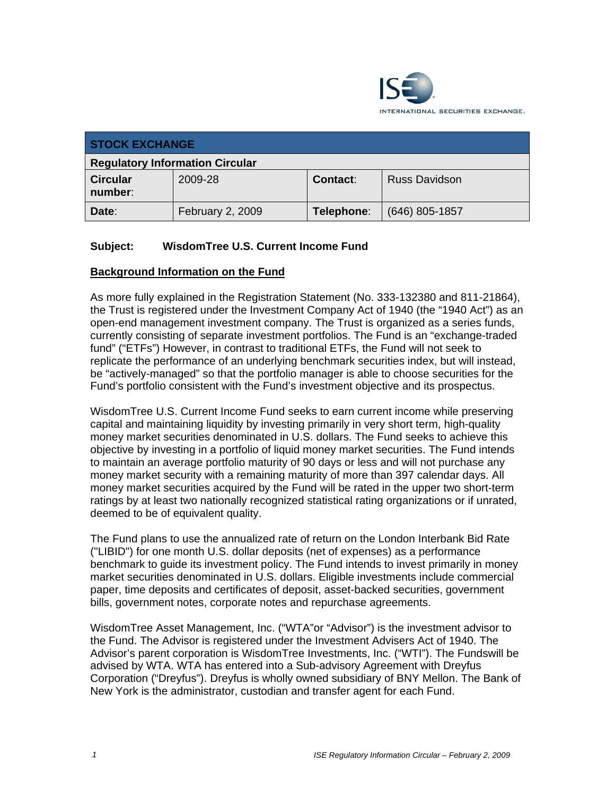

| <b>STOCK EXCHANGE</b>                  |                  |                 |                      |
|----------------------------------------|------------------|-----------------|----------------------|
| <b>Regulatory Information Circular</b> |                  |                 |                      |
| <b>Circular</b><br>number:             | 2009-28          | <b>Contact:</b> | <b>Russ Davidson</b> |
| Date:                                  | February 2, 2009 | Telephone:      | $(646)$ 805-1857     |

## **Subject: WisdomTree U.S. Current Income Fund**

#### **Background Information on the Fund**

As more fully explained in the Registration Statement (No. 333-132380 and 811-21864), the Trust is registered under the Investment Company Act of 1940 (the "1940 Act") as an open-end management investment company. The Trust is organized as a series funds, currently consisting of separate investment portfolios. The Fund is an "exchange-traded fund" ("ETFs") However, in contrast to traditional ETFs, the Fund will not seek to replicate the performance of an underlying benchmark securities index, but will instead, be "actively-managed" so that the portfolio manager is able to choose securities for the Fund's portfolio consistent with the Fund's investment objective and its prospectus.

WisdomTree U.S. Current Income Fund seeks to earn current income while preserving capital and maintaining liquidity by investing primarily in very short term, high-quality money market securities denominated in U.S. dollars. The Fund seeks to achieve this objective by investing in a portfolio of liquid money market securities. The Fund intends to maintain an average portfolio maturity of 90 days or less and will not purchase any money market security with a remaining maturity of more than 397 calendar days. All money market securities acquired by the Fund will be rated in the upper two short-term ratings by at least two nationally recognized statistical rating organizations or if unrated, deemed to be of equivalent quality.

The Fund plans to use the annualized rate of return on the London Interbank Bid Rate ("LIBID") for one month U.S. dollar deposits (net of expenses) as a performance benchmark to guide its investment policy. The Fund intends to invest primarily in money market securities denominated in U.S. dollars. Eligible investments include commercial paper, time deposits and certificates of deposit, asset-backed securities, government bills, government notes, corporate notes and repurchase agreements.

WisdomTree Asset Management, Inc. ("WTA"or "Advisor") is the investment advisor to the Fund. The Advisor is registered under the Investment Advisers Act of 1940. The Advisor's parent corporation is WisdomTree Investments, Inc. ("WTI"). The Fundswill be advised by WTA. WTA has entered into a Sub-advisory Agreement with Dreyfus Corporation ("Dreyfus"). Dreyfus is wholly owned subsidiary of BNY Mellon. The Bank of New York is the administrator, custodian and transfer agent for each Fund.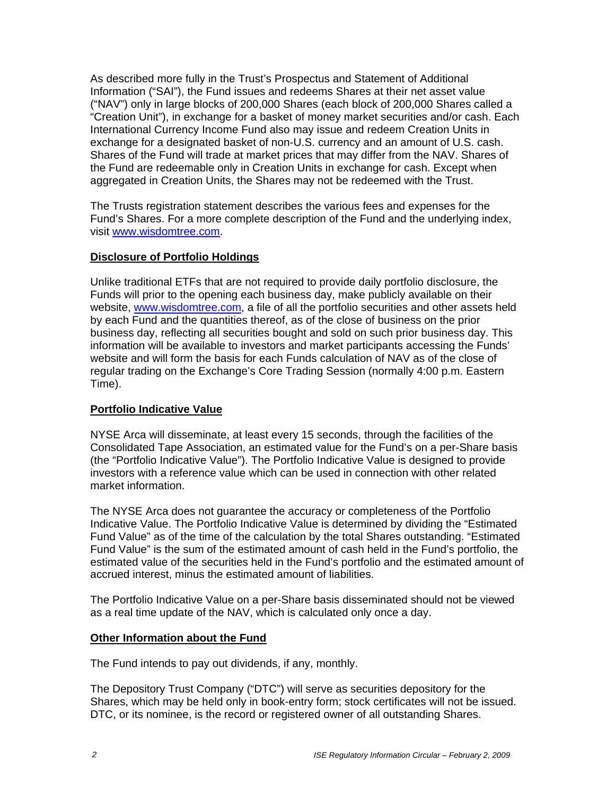As described more fully in the Trust's Prospectus and Statement of Additional Information ("SAI"), the Fund issues and redeems Shares at their net asset value ("NAV") only in large blocks of 200,000 Shares (each block of 200,000 Shares called a "Creation Unit"), in exchange for a basket of money market securities and/or cash. Each International Currency Income Fund also may issue and redeem Creation Units in exchange for a designated basket of non-U.S. currency and an amount of U.S. cash. Shares of the Fund will trade at market prices that may differ from the NAV. Shares of the Fund are redeemable only in Creation Units in exchange for cash. Except when aggregated in Creation Units, the Shares may not be redeemed with the Trust.

The Trusts registration statement describes the various fees and expenses for the Fund's Shares. For a more complete description of the Fund and the underlying index, visit www.wisdomtree.com.

### **Disclosure of Portfolio Holdings**

Unlike traditional ETFs that are not required to provide daily portfolio disclosure, the Funds will prior to the opening each business day, make publicly available on their website, www.wisdomtree.com, a file of all the portfolio securities and other assets held by each Fund and the quantities thereof, as of the close of business on the prior business day, reflecting all securities bought and sold on such prior business day. This information will be available to investors and market participants accessing the Funds' website and will form the basis for each Funds calculation of NAV as of the close of regular trading on the Exchange's Core Trading Session (normally 4:00 p.m. Eastern Time).

### **Portfolio Indicative Value**

NYSE Arca will disseminate, at least every 15 seconds, through the facilities of the Consolidated Tape Association, an estimated value for the Fund's on a per-Share basis (the "Portfolio Indicative Value"). The Portfolio Indicative Value is designed to provide investors with a reference value which can be used in connection with other related market information.

The NYSE Arca does not guarantee the accuracy or completeness of the Portfolio Indicative Value. The Portfolio Indicative Value is determined by dividing the "Estimated Fund Value" as of the time of the calculation by the total Shares outstanding. "Estimated Fund Value" is the sum of the estimated amount of cash held in the Fund's portfolio, the estimated value of the securities held in the Fund's portfolio and the estimated amount of accrued interest, minus the estimated amount of liabilities.

The Portfolio Indicative Value on a per-Share basis disseminated should not be viewed as a real time update of the NAV, which is calculated only once a day.

#### **Other Information about the Fund**

The Fund intends to pay out dividends, if any, monthly.

The Depository Trust Company ("DTC") will serve as securities depository for the Shares, which may be held only in book-entry form; stock certificates will not be issued. DTC, or its nominee, is the record or registered owner of all outstanding Shares.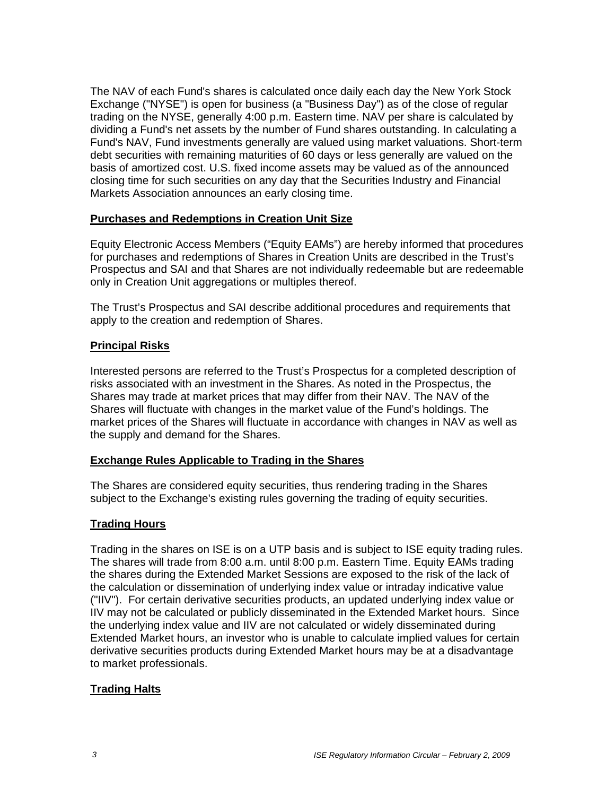The NAV of each Fund's shares is calculated once daily each day the New York Stock Exchange ("NYSE") is open for business (a "Business Day") as of the close of regular trading on the NYSE, generally 4:00 p.m. Eastern time. NAV per share is calculated by dividing a Fund's net assets by the number of Fund shares outstanding. In calculating a Fund's NAV, Fund investments generally are valued using market valuations. Short-term debt securities with remaining maturities of 60 days or less generally are valued on the basis of amortized cost. U.S. fixed income assets may be valued as of the announced closing time for such securities on any day that the Securities Industry and Financial Markets Association announces an early closing time.

### **Purchases and Redemptions in Creation Unit Size**

Equity Electronic Access Members ("Equity EAMs") are hereby informed that procedures for purchases and redemptions of Shares in Creation Units are described in the Trust's Prospectus and SAI and that Shares are not individually redeemable but are redeemable only in Creation Unit aggregations or multiples thereof.

The Trust's Prospectus and SAI describe additional procedures and requirements that apply to the creation and redemption of Shares.

#### **Principal Risks**

Interested persons are referred to the Trust's Prospectus for a completed description of risks associated with an investment in the Shares. As noted in the Prospectus, the Shares may trade at market prices that may differ from their NAV. The NAV of the Shares will fluctuate with changes in the market value of the Fund's holdings. The market prices of the Shares will fluctuate in accordance with changes in NAV as well as the supply and demand for the Shares.

#### **Exchange Rules Applicable to Trading in the Shares**

The Shares are considered equity securities, thus rendering trading in the Shares subject to the Exchange's existing rules governing the trading of equity securities.

### **Trading Hours**

Trading in the shares on ISE is on a UTP basis and is subject to ISE equity trading rules. The shares will trade from 8:00 a.m. until 8:00 p.m. Eastern Time. Equity EAMs trading the shares during the Extended Market Sessions are exposed to the risk of the lack of the calculation or dissemination of underlying index value or intraday indicative value ("IIV"). For certain derivative securities products, an updated underlying index value or IIV may not be calculated or publicly disseminated in the Extended Market hours. Since the underlying index value and IIV are not calculated or widely disseminated during Extended Market hours, an investor who is unable to calculate implied values for certain derivative securities products during Extended Market hours may be at a disadvantage to market professionals.

### **Trading Halts**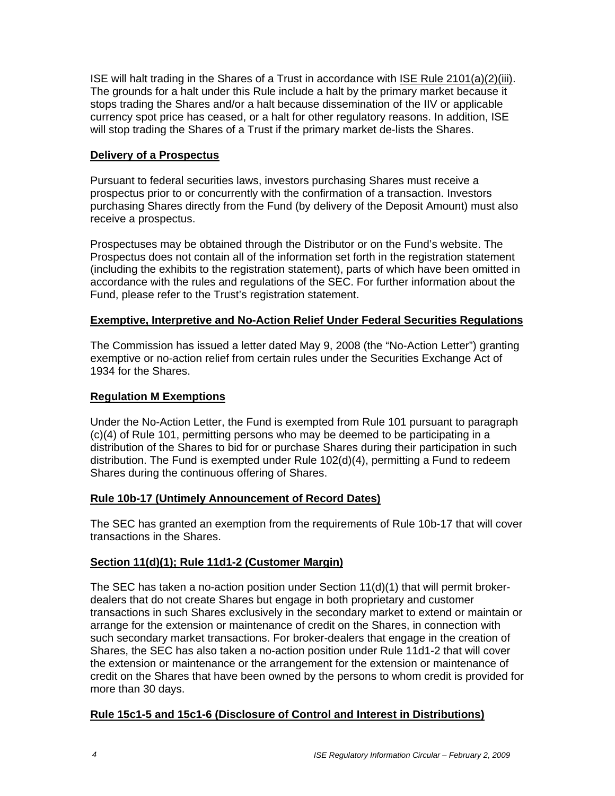ISE will halt trading in the Shares of a Trust in accordance with ISE Rule 2101(a)(2)(iii). The grounds for a halt under this Rule include a halt by the primary market because it stops trading the Shares and/or a halt because dissemination of the IIV or applicable currency spot price has ceased, or a halt for other regulatory reasons. In addition, ISE will stop trading the Shares of a Trust if the primary market de-lists the Shares.

## **Delivery of a Prospectus**

Pursuant to federal securities laws, investors purchasing Shares must receive a prospectus prior to or concurrently with the confirmation of a transaction. Investors purchasing Shares directly from the Fund (by delivery of the Deposit Amount) must also receive a prospectus.

Prospectuses may be obtained through the Distributor or on the Fund's website. The Prospectus does not contain all of the information set forth in the registration statement (including the exhibits to the registration statement), parts of which have been omitted in accordance with the rules and regulations of the SEC. For further information about the Fund, please refer to the Trust's registration statement.

### **Exemptive, Interpretive and No-Action Relief Under Federal Securities Regulations**

The Commission has issued a letter dated May 9, 2008 (the "No-Action Letter") granting exemptive or no-action relief from certain rules under the Securities Exchange Act of 1934 for the Shares.

## **Regulation M Exemptions**

Under the No-Action Letter, the Fund is exempted from Rule 101 pursuant to paragraph (c)(4) of Rule 101, permitting persons who may be deemed to be participating in a distribution of the Shares to bid for or purchase Shares during their participation in such distribution. The Fund is exempted under Rule 102(d)(4), permitting a Fund to redeem Shares during the continuous offering of Shares.

### **Rule 10b-17 (Untimely Announcement of Record Dates)**

The SEC has granted an exemption from the requirements of Rule 10b-17 that will cover transactions in the Shares.

### **Section 11(d)(1); Rule 11d1-2 (Customer Margin)**

The SEC has taken a no-action position under Section  $11(d)(1)$  that will permit brokerdealers that do not create Shares but engage in both proprietary and customer transactions in such Shares exclusively in the secondary market to extend or maintain or arrange for the extension or maintenance of credit on the Shares, in connection with such secondary market transactions. For broker-dealers that engage in the creation of Shares, the SEC has also taken a no-action position under Rule 11d1-2 that will cover the extension or maintenance or the arrangement for the extension or maintenance of credit on the Shares that have been owned by the persons to whom credit is provided for more than 30 days.

## **Rule 15c1-5 and 15c1-6 (Disclosure of Control and Interest in Distributions)**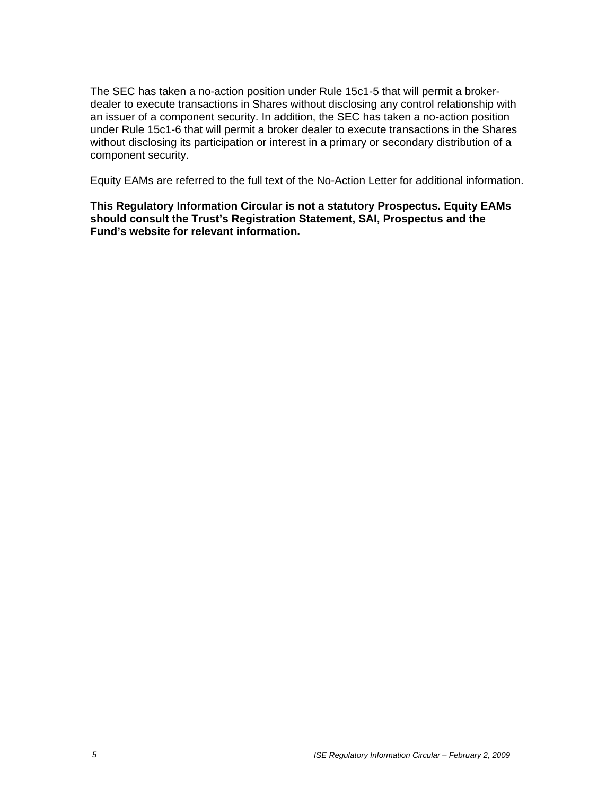The SEC has taken a no-action position under Rule 15c1-5 that will permit a brokerdealer to execute transactions in Shares without disclosing any control relationship with an issuer of a component security. In addition, the SEC has taken a no-action position under Rule 15c1-6 that will permit a broker dealer to execute transactions in the Shares without disclosing its participation or interest in a primary or secondary distribution of a component security.

Equity EAMs are referred to the full text of the No-Action Letter for additional information.

**This Regulatory Information Circular is not a statutory Prospectus. Equity EAMs should consult the Trust's Registration Statement, SAI, Prospectus and the Fund's website for relevant information.**